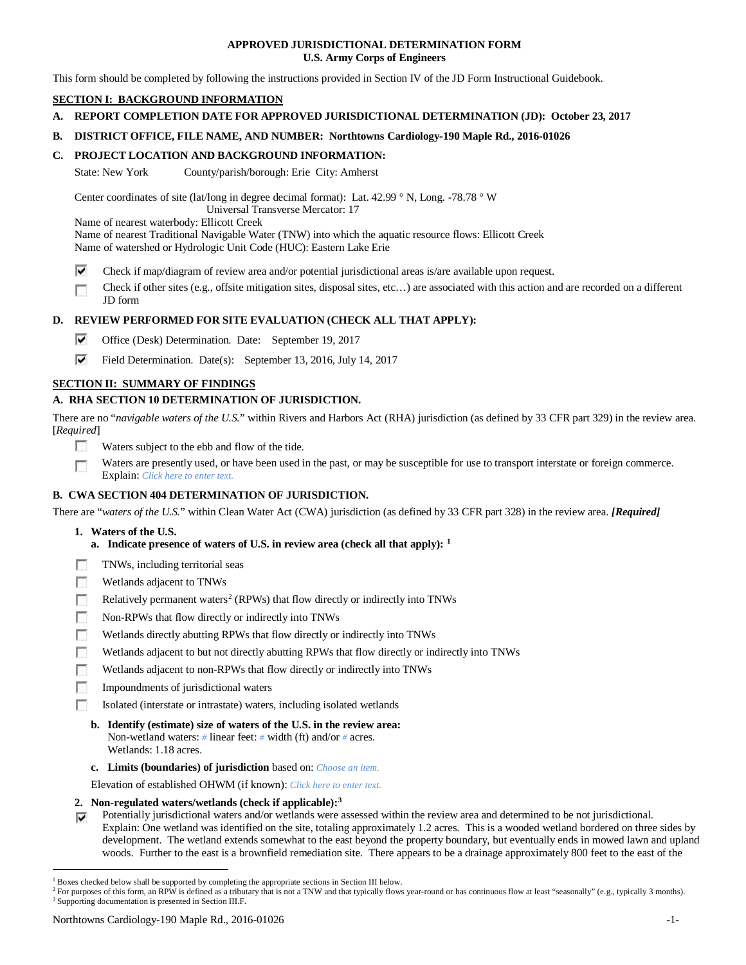## **APPROVED JURISDICTIONAL DETERMINATION FORM U.S. Army Corps of Engineers**

This form should be completed by following the instructions provided in Section IV of the JD Form Instructional Guidebook.

# **SECTION I: BACKGROUND INFORMATION**

# **A. REPORT COMPLETION DATE FOR APPROVED JURISDICTIONAL DETERMINATION (JD): October 23, 2017**

# **B. DISTRICT OFFICE, FILE NAME, AND NUMBER: Northtowns Cardiology-190 Maple Rd., 2016-01026**

# **C. PROJECT LOCATION AND BACKGROUND INFORMATION:**

State: New York County/parish/borough: Erie City: Amherst

Center coordinates of site (lat/long in degree decimal format): Lat. 42.99 ° N, Long. -78.78 ° W

Universal Transverse Mercator: 17

Name of nearest waterbody: Ellicott Creek

Name of nearest Traditional Navigable Water (TNW) into which the aquatic resource flows: Ellicott Creek Name of watershed or Hydrologic Unit Code (HUC): Eastern Lake Erie

- ⊽ Check if map/diagram of review area and/or potential jurisdictional areas is/are available upon request.
- Check if other sites (e.g., offsite mitigation sites, disposal sites, etc…) are associated with this action and are recorded on a different Г JD form

# **D. REVIEW PERFORMED FOR SITE EVALUATION (CHECK ALL THAT APPLY):**

- ⊽ Office (Desk) Determination. Date: September 19, 2017
- ⊽ Field Determination. Date(s): September 13, 2016, July 14, 2017

# **SECTION II: SUMMARY OF FINDINGS**

# **A. RHA SECTION 10 DETERMINATION OF JURISDICTION.**

There are no "*navigable waters of the U.S.*" within Rivers and Harbors Act (RHA) jurisdiction (as defined by 33 CFR part 329) in the review area. [*Required*]

- n Waters subject to the ebb and flow of the tide.
- Waters are presently used, or have been used in the past, or may be susceptible for use to transport interstate or foreign commerce. Г Explain: *Click here to enter text.*

## **B. CWA SECTION 404 DETERMINATION OF JURISDICTION.**

There are "*waters of the U.S.*" within Clean Water Act (CWA) jurisdiction (as defined by 33 CFR part 328) in the review area. *[Required]*

- **1. Waters of the U.S.**
	- **a. Indicate presence of waters of U.S. in review area (check all that apply): [1](#page-0-0)**
- п TNWs, including territorial seas
- Wetlands adjacent to TNWs п
- Relatively permanent waters<sup>2</sup> (RPWs) that flow directly or indirectly into TNWs п
- п Non-RPWs that flow directly or indirectly into TNWs
- п Wetlands directly abutting RPWs that flow directly or indirectly into TNWs
- г Wetlands adjacent to but not directly abutting RPWs that flow directly or indirectly into TNWs
- г Wetlands adjacent to non-RPWs that flow directly or indirectly into TNWs
- п Impoundments of jurisdictional waters
- Isolated (interstate or intrastate) waters, including isolated wetlands m.
	- **b. Identify (estimate) size of waters of the U.S. in the review area:** Non-wetland waters: *#* linear feet: *#* width (ft) and/or *#* acres. Wetlands: 1.18 acres.
	- **c. Limits (boundaries) of jurisdiction** based on: *Choose an item.*

Elevation of established OHWM (if known): *Click here to enter text.*

- **2. Non-regulated waters/wetlands (check if applicable):[3](#page-0-2)**
- Potentially jurisdictional waters and/or wetlands were assessed within the review area and determined to be not jurisdictional. Explain: One wetland was identified on the site, totaling approximately 1.2 acres. This is a wooded wetland bordered on three sides by development. The wetland extends somewhat to the east beyond the property boundary, but eventually ends in mowed lawn and upland woods. Further to the east is a brownfield remediation site. There appears to be a drainage approximately 800 feet to the east of the

<span id="page-0-0"></span><sup>&</sup>lt;sup>1</sup> Boxes checked below shall be supported by completing the appropriate sections in Section III below.

<span id="page-0-2"></span><span id="page-0-1"></span><sup>&</sup>lt;sup>2</sup> For purposes of this form, an RPW is defined as a tributary that is not a TNW and that typically flows year-round or has continuous flow at least "seasonally" (e.g., typically 3 months). <sup>3</sup> Supporting documentation is presented in Section III.F.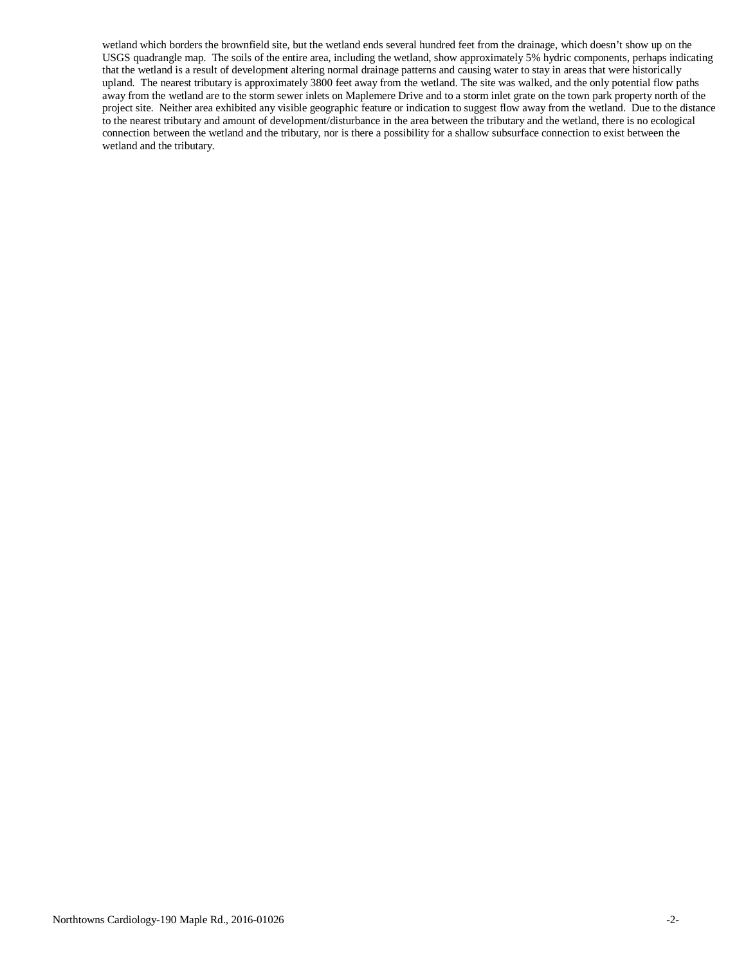wetland which borders the brownfield site, but the wetland ends several hundred feet from the drainage, which doesn't show up on the USGS quadrangle map. The soils of the entire area, including the wetland, show approximately 5% hydric components, perhaps indicating that the wetland is a result of development altering normal drainage patterns and causing water to stay in areas that were historically upland. The nearest tributary is approximately 3800 feet away from the wetland. The site was walked, and the only potential flow paths away from the wetland are to the storm sewer inlets on Maplemere Drive and to a storm inlet grate on the town park property north of the project site. Neither area exhibited any visible geographic feature or indication to suggest flow away from the wetland. Due to the distance to the nearest tributary and amount of development/disturbance in the area between the tributary and the wetland, there is no ecological connection between the wetland and the tributary, nor is there a possibility for a shallow subsurface connection to exist between the wetland and the tributary.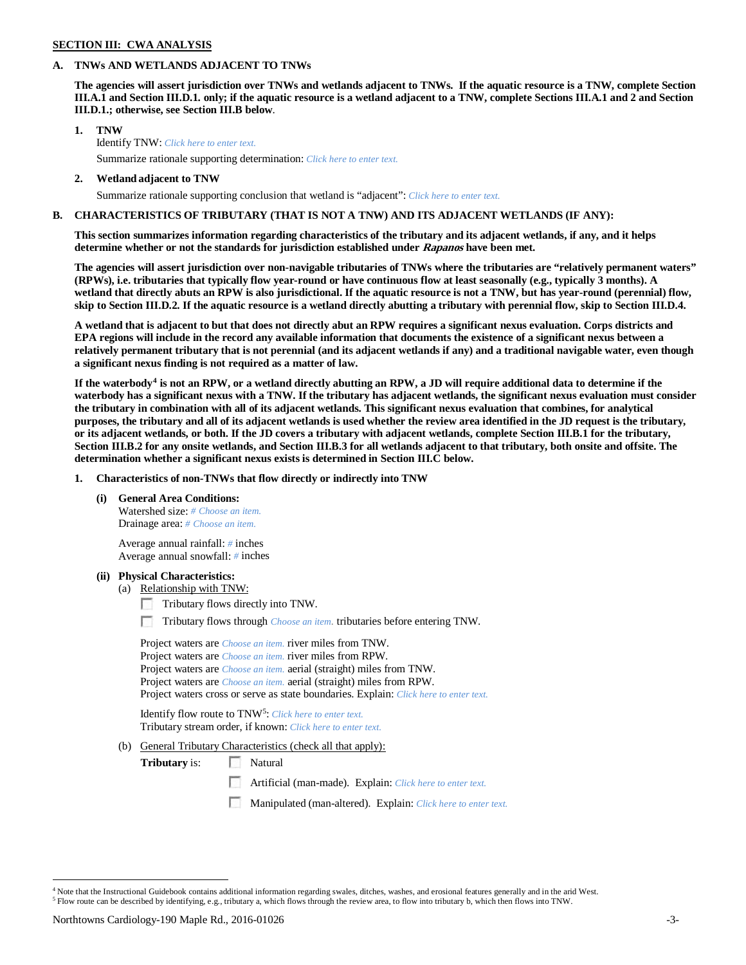### **SECTION III: CWA ANALYSIS**

### **A. TNWs AND WETLANDS ADJACENT TO TNWs**

**The agencies will assert jurisdiction over TNWs and wetlands adjacent to TNWs. If the aquatic resource is a TNW, complete Section III.A.1 and Section III.D.1. only; if the aquatic resource is a wetland adjacent to a TNW, complete Sections III.A.1 and 2 and Section III.D.1.; otherwise, see Section III.B below**.

- **1. TNW**  Identify TNW: *Click here to enter text.*
	- Summarize rationale supporting determination: *Click here to enter text.*
- **2. Wetland adjacent to TNW**

Summarize rationale supporting conclusion that wetland is "adjacent": *Click here to enter text.*

## **B. CHARACTERISTICS OF TRIBUTARY (THAT IS NOT A TNW) AND ITS ADJACENT WETLANDS (IF ANY):**

**This section summarizes information regarding characteristics of the tributary and its adjacent wetlands, if any, and it helps determine whether or not the standards for jurisdiction established under Rapanos have been met.** 

**The agencies will assert jurisdiction over non-navigable tributaries of TNWs where the tributaries are "relatively permanent waters" (RPWs), i.e. tributaries that typically flow year-round or have continuous flow at least seasonally (e.g., typically 3 months). A wetland that directly abuts an RPW is also jurisdictional. If the aquatic resource is not a TNW, but has year-round (perennial) flow, skip to Section III.D.2. If the aquatic resource is a wetland directly abutting a tributary with perennial flow, skip to Section III.D.4.**

**A wetland that is adjacent to but that does not directly abut an RPW requires a significant nexus evaluation. Corps districts and EPA regions will include in the record any available information that documents the existence of a significant nexus between a relatively permanent tributary that is not perennial (and its adjacent wetlands if any) and a traditional navigable water, even though a significant nexus finding is not required as a matter of law.**

**If the waterbody[4](#page-2-0) is not an RPW, or a wetland directly abutting an RPW, a JD will require additional data to determine if the waterbody has a significant nexus with a TNW. If the tributary has adjacent wetlands, the significant nexus evaluation must consider the tributary in combination with all of its adjacent wetlands. This significant nexus evaluation that combines, for analytical purposes, the tributary and all of its adjacent wetlands is used whether the review area identified in the JD request is the tributary, or its adjacent wetlands, or both. If the JD covers a tributary with adjacent wetlands, complete Section III.B.1 for the tributary, Section III.B.2 for any onsite wetlands, and Section III.B.3 for all wetlands adjacent to that tributary, both onsite and offsite. The determination whether a significant nexus exists is determined in Section III.C below.**

**1. Characteristics of non-TNWs that flow directly or indirectly into TNW**

**(i) General Area Conditions:**

Watershed size: *# Choose an item.* Drainage area: *# Choose an item.*

Average annual rainfall: *#* inches Average annual snowfall: *#* inches

## **(ii) Physical Characteristics:**

- (a) Relationship with TNW:
	- Tributary flows directly into TNW.
	- Tributary flows through *Choose an item.* tributaries before entering TNW.

Project waters are *Choose an item.* river miles from TNW. Project waters are *Choose an item.* river miles from RPW. Project waters are *Choose an item.* aerial (straight) miles from TNW. Project waters are *Choose an item.* aerial (straight) miles from RPW. Project waters cross or serve as state boundaries. Explain: *Click here to enter text.*

Identify flow route to TNW<sup>[5](#page-2-1)</sup>: Click here to enter text. Tributary stream order, if known: *Click here to enter text.*

(b) General Tributary Characteristics (check all that apply):

**Tributary** is: Natural

- Artificial (man-made). Explain: *Click here to enter text.*
- Manipulated (man-altered). Explain: *Click here to enter text.*

<span id="page-2-1"></span><span id="page-2-0"></span> <sup>4</sup> Note that the Instructional Guidebook contains additional information regarding swales, ditches, washes, and erosional features generally and in the arid West. <sup>5</sup> Flow route can be described by identifying, e.g., tributary a, which flows through the review area, to flow into tributary b, which then flows into TNW.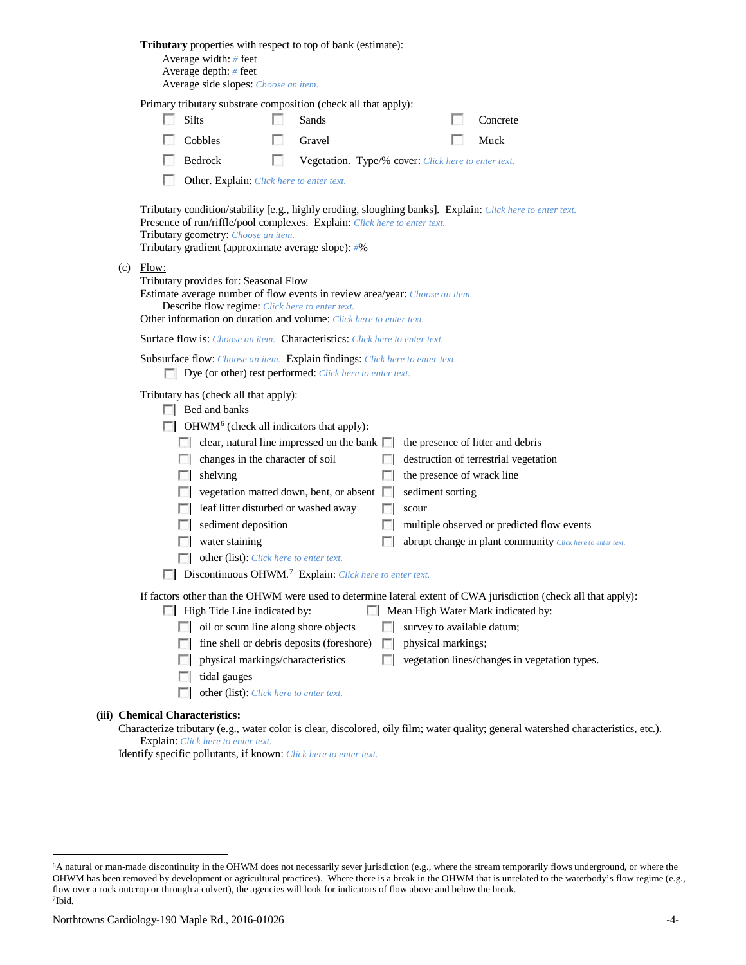|                                                                                                                                                                                                                                                                                                                                                                                                                                                                                                                                                                                                                                                                                                                                                                                                                                                                                                                               | Tributary properties with respect to top of bank (estimate):<br>Average width: # feet<br>Average depth: # feet<br>Average side slopes: Choose an item.                                                                                                                                                                                                                                                                                                                                                                                         |                                                                                                                                                                                                                                 |                       |    |                                                     |                                                                                     |
|-------------------------------------------------------------------------------------------------------------------------------------------------------------------------------------------------------------------------------------------------------------------------------------------------------------------------------------------------------------------------------------------------------------------------------------------------------------------------------------------------------------------------------------------------------------------------------------------------------------------------------------------------------------------------------------------------------------------------------------------------------------------------------------------------------------------------------------------------------------------------------------------------------------------------------|------------------------------------------------------------------------------------------------------------------------------------------------------------------------------------------------------------------------------------------------------------------------------------------------------------------------------------------------------------------------------------------------------------------------------------------------------------------------------------------------------------------------------------------------|---------------------------------------------------------------------------------------------------------------------------------------------------------------------------------------------------------------------------------|-----------------------|----|-----------------------------------------------------|-------------------------------------------------------------------------------------|
|                                                                                                                                                                                                                                                                                                                                                                                                                                                                                                                                                                                                                                                                                                                                                                                                                                                                                                                               |                                                                                                                                                                                                                                                                                                                                                                                                                                                                                                                                                | Primary tributary substrate composition (check all that apply):<br>Silts<br>Cobbles<br>Bedrock<br>Other. Explain: Click here to enter text.                                                                                     | Sands<br>Gravel<br>L. |    | Vegetation. Type/% cover: Click here to enter text. | Concrete<br>Muck                                                                    |
| (c)                                                                                                                                                                                                                                                                                                                                                                                                                                                                                                                                                                                                                                                                                                                                                                                                                                                                                                                           | Tributary condition/stability [e.g., highly eroding, sloughing banks]. Explain: Click here to enter text.<br>Presence of run/riffle/pool complexes. Explain: Click here to enter text.<br>Tributary geometry: Choose an item.<br>Tributary gradient (approximate average slope): #%<br>Flow:<br>Tributary provides for: Seasonal Flow<br>Estimate average number of flow events in review area/year: Choose an item.<br>Describe flow regime: Click here to enter text.<br>Other information on duration and volume: Click here to enter text. |                                                                                                                                                                                                                                 |                       |    |                                                     |                                                                                     |
|                                                                                                                                                                                                                                                                                                                                                                                                                                                                                                                                                                                                                                                                                                                                                                                                                                                                                                                               | Surface flow is: Choose an item. Characteristics: Click here to enter text.<br>Subsurface flow: Choose an item. Explain findings: Click here to enter text.<br>Dye (or other) test performed: Click here to enter text.                                                                                                                                                                                                                                                                                                                        |                                                                                                                                                                                                                                 |                       |    |                                                     |                                                                                     |
| Tributary has (check all that apply):<br>$\Box$ Bed and banks<br>$\Box$ OHWM <sup>6</sup> (check all indicators that apply):<br>$\Box$ clear, natural line impressed on the bank $\Box$ the presence of litter and debris<br>changes in the character of soil<br>destruction of terrestrial vegetation<br>the presence of wrack line<br>$\Box$ shelving<br>$\Box$ vegetation matted down, bent, or absent $\Box$<br>sediment sorting<br>leaf litter disturbed or washed away<br>scour<br>n.<br>sediment deposition<br>multiple observed or predicted flow events<br><b>COLLEGE</b><br>L.<br>water staining<br>abrupt change in plant community Click here to enter text.<br>other (list): Click here to enter text.<br>$\blacksquare$ Discontinuous OHWM. <sup>7</sup> Explain: Click here to enter text.<br>If factors other than the OHWM were used to determine lateral extent of CWA jurisdiction (check all that apply): |                                                                                                                                                                                                                                                                                                                                                                                                                                                                                                                                                |                                                                                                                                                                                                                                 |                       |    |                                                     |                                                                                     |
|                                                                                                                                                                                                                                                                                                                                                                                                                                                                                                                                                                                                                                                                                                                                                                                                                                                                                                                               | <b>Chemical Characteristics:</b>                                                                                                                                                                                                                                                                                                                                                                                                                                                                                                               | High Tide Line indicated by:<br>oil or scum line along shore objects<br>$\Box$ fine shell or debris deposits (foreshore) $\Box$<br>physical markings/characteristics<br>tidal gauges<br>other (list): Click here to enter text. |                       | R. | survey to available datum;<br>physical markings;    | Mean High Water Mark indicated by:<br>vegetation lines/changes in vegetation types. |

Characterize tributary (e.g., water color is clear, discolored, oily film; water quality; general watershed characteristics, etc.). Explain: *Click here to enter text.*

Identify specific pollutants, if known: *Click here to enter text.*

(iii)

<span id="page-3-1"></span><span id="page-3-0"></span> <sup>6</sup>A natural or man-made discontinuity in the OHWM does not necessarily sever jurisdiction (e.g., where the stream temporarily flows underground, or where the OHWM has been removed by development or agricultural practices). Where there is a break in the OHWM that is unrelated to the waterbody's flow regime (e.g., flow over a rock outcrop or through a culvert), the agencies will look for indicators of flow above and below the break. 7Ibid.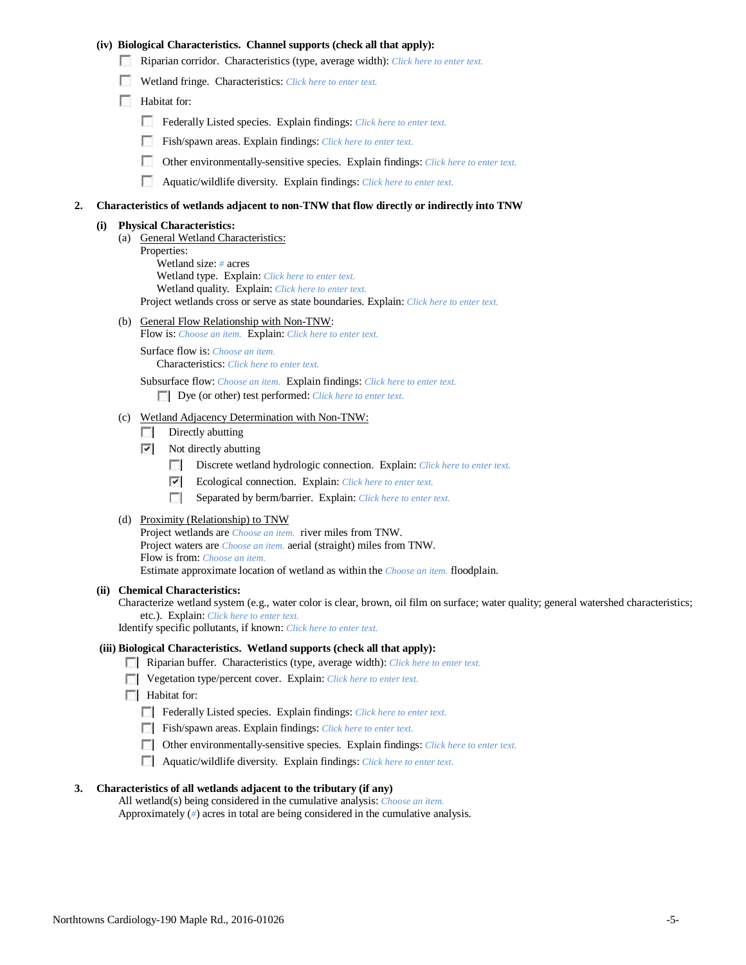### **(iv) Biological Characteristics. Channel supports (check all that apply):**

- Riparian corridor. Characteristics (type, average width): *Click here to enter text.*
- Wetland fringe. Characteristics: *Click here to enter text.*
- **Habitat for:** 
	- Federally Listed species. Explain findings: *Click here to enter text.*
	- Fish/spawn areas. Explain findings: *Click here to enter text.*
	- Other environmentally-sensitive species. Explain findings: *Click here to enter text.*
	- n Aquatic/wildlife diversity. Explain findings: *Click here to enter text.*

#### **2. Characteristics of wetlands adjacent to non-TNW that flow directly or indirectly into TNW**

#### **(i) Physical Characteristics:**

- (a) General Wetland Characteristics:
	- Properties:

Wetland size: *#* acres Wetland type. Explain: *Click here to enter text.*

Wetland quality. Explain: *Click here to enter text.*

Project wetlands cross or serve as state boundaries. Explain: *Click here to enter text.*

(b) General Flow Relationship with Non-TNW: Flow is: *Choose an item.* Explain: *Click here to enter text.*

Surface flow is: *Choose an item.* Characteristics: *Click here to enter text.*

Subsurface flow: *Choose an item.* Explain findings: *Click here to enter text.*

Dye (or other) test performed: *Click here to enter text.*

### (c) Wetland Adjacency Determination with Non-TNW:

- $\Box$  Directly abutting
- $\triangledown$  Not directly abutting
	- E. Discrete wetland hydrologic connection. Explain: *Click here to enter text.*
	- $\overline{\phantom{a}}$ Ecological connection. Explain: *Click here to enter text.*
	- **The Contract of the Contract of the Contract of the Contract of the Contract of the Contract of the Contract of the Contract of the Contract of the Contract of the Contract of the Contract of the Contract of the Contract** Separated by berm/barrier. Explain: *Click here to enter text.*
- (d) Proximity (Relationship) to TNW

Project wetlands are *Choose an item.* river miles from TNW. Project waters are *Choose an item.* aerial (straight) miles from TNW. Flow is from: *Choose an item.* Estimate approximate location of wetland as within the *Choose an item.* floodplain.

#### **(ii) Chemical Characteristics:**

Characterize wetland system (e.g., water color is clear, brown, oil film on surface; water quality; general watershed characteristics; etc.). Explain: *Click here to enter text.*

Identify specific pollutants, if known: *Click here to enter text.*

### **(iii) Biological Characteristics. Wetland supports (check all that apply):**

- Riparian buffer. Characteristics (type, average width): *Click here to enter text.*
- Vegetation type/percent cover. Explain: *Click here to enter text.*
- **Habitat for:** 
	- Federally Listed species. Explain findings: *Click here to enter text.*
	- Fish/spawn areas. Explain findings: *Click here to enter text*.
	- Other environmentally-sensitive species. Explain findings: *Click here to enter text.*
	- Aquatic/wildlife diversity. Explain findings: *Click here to enter text.*

### **3. Characteristics of all wetlands adjacent to the tributary (if any)**

All wetland(s) being considered in the cumulative analysis: *Choose an item.* Approximately (*#*) acres in total are being considered in the cumulative analysis.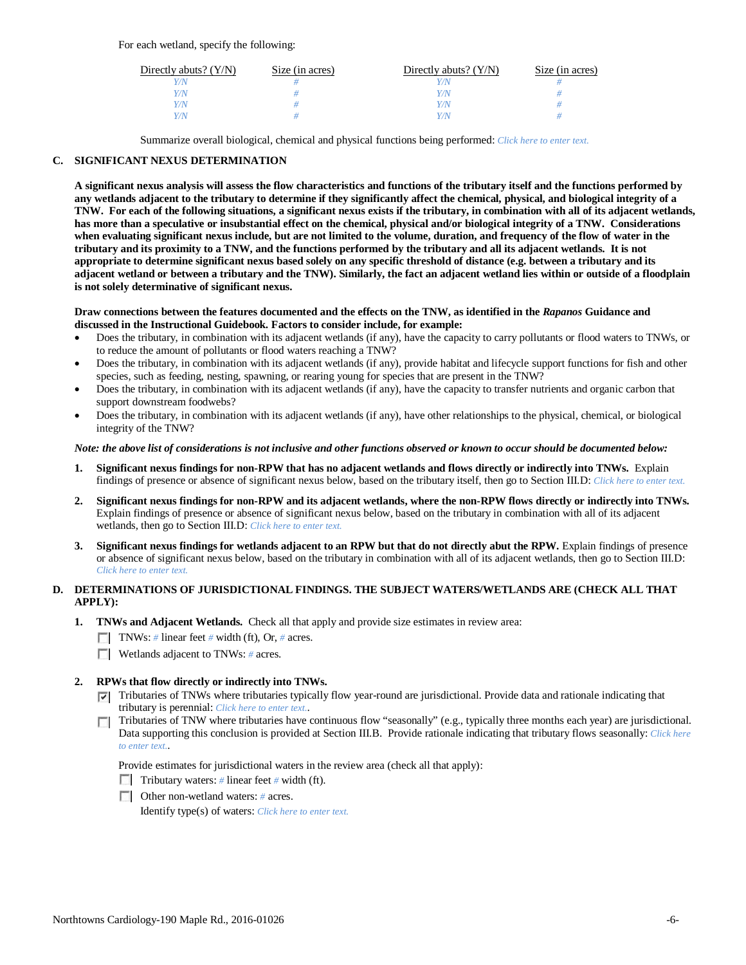| Directly abuts? $(Y/N)$ | Size (in acres) | Directly abuts? $(Y/N)$ | Size (in acres) |
|-------------------------|-----------------|-------------------------|-----------------|
| V/N                     |                 |                         |                 |
| Y/N                     |                 | Y/N                     |                 |
| Y/N                     |                 |                         |                 |
| Y/N                     |                 |                         |                 |

Summarize overall biological, chemical and physical functions being performed: *Click here to enter text.*

## **C. SIGNIFICANT NEXUS DETERMINATION**

**A significant nexus analysis will assess the flow characteristics and functions of the tributary itself and the functions performed by any wetlands adjacent to the tributary to determine if they significantly affect the chemical, physical, and biological integrity of a TNW. For each of the following situations, a significant nexus exists if the tributary, in combination with all of its adjacent wetlands, has more than a speculative or insubstantial effect on the chemical, physical and/or biological integrity of a TNW. Considerations when evaluating significant nexus include, but are not limited to the volume, duration, and frequency of the flow of water in the tributary and its proximity to a TNW, and the functions performed by the tributary and all its adjacent wetlands. It is not appropriate to determine significant nexus based solely on any specific threshold of distance (e.g. between a tributary and its adjacent wetland or between a tributary and the TNW). Similarly, the fact an adjacent wetland lies within or outside of a floodplain is not solely determinative of significant nexus.** 

### **Draw connections between the features documented and the effects on the TNW, as identified in the** *Rapanos* **Guidance and discussed in the Instructional Guidebook. Factors to consider include, for example:**

- Does the tributary, in combination with its adjacent wetlands (if any), have the capacity to carry pollutants or flood waters to TNWs, or to reduce the amount of pollutants or flood waters reaching a TNW?
- Does the tributary, in combination with its adjacent wetlands (if any), provide habitat and lifecycle support functions for fish and other species, such as feeding, nesting, spawning, or rearing young for species that are present in the TNW?
- Does the tributary, in combination with its adjacent wetlands (if any), have the capacity to transfer nutrients and organic carbon that support downstream foodwebs?
- Does the tributary, in combination with its adjacent wetlands (if any), have other relationships to the physical, chemical, or biological integrity of the TNW?

## *Note: the above list of considerations is not inclusive and other functions observed or known to occur should be documented below:*

- **1. Significant nexus findings for non-RPW that has no adjacent wetlands and flows directly or indirectly into TNWs.** Explain findings of presence or absence of significant nexus below, based on the tributary itself, then go to Section III.D: *Click here to enter text.*
- **2. Significant nexus findings for non-RPW and its adjacent wetlands, where the non-RPW flows directly or indirectly into TNWs.**  Explain findings of presence or absence of significant nexus below, based on the tributary in combination with all of its adjacent wetlands, then go to Section III.D: *Click here to enter text.*
- **3. Significant nexus findings for wetlands adjacent to an RPW but that do not directly abut the RPW.** Explain findings of presence or absence of significant nexus below, based on the tributary in combination with all of its adjacent wetlands, then go to Section III.D: *Click here to enter text.*

# **D. DETERMINATIONS OF JURISDICTIONAL FINDINGS. THE SUBJECT WATERS/WETLANDS ARE (CHECK ALL THAT APPLY):**

- **1. TNWs and Adjacent Wetlands.** Check all that apply and provide size estimates in review area:
	- TNWs: *#* linear feet *#* width (ft), Or, *#* acres.
	- **Wetlands adjacent to TNWs: # acres.**
- **2. RPWs that flow directly or indirectly into TNWs.**
	- Tributaries of TNWs where tributaries typically flow year-round are jurisdictional. Provide data and rationale indicating that tributary is perennial: *Click here to enter text.*.
	- Tributaries of TNW where tributaries have continuous flow "seasonally" (e.g., typically three months each year) are jurisdictional. Data supporting this conclusion is provided at Section III.B. Provide rationale indicating that tributary flows seasonally: *Click here to enter text.*.

Provide estimates for jurisdictional waters in the review area (check all that apply):

- Tributary waters: # linear feet # width (ft).
- Other non-wetland waters: *#* acres.

Identify type(s) of waters: *Click here to enter text.*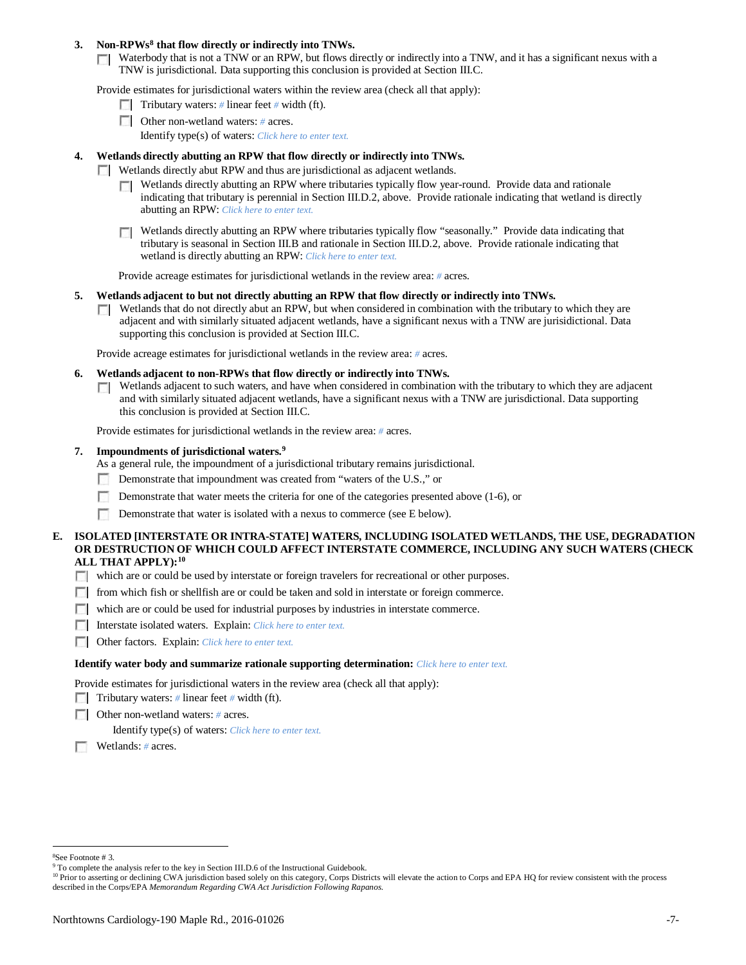## **3. Non-RPWs[8](#page-6-0) that flow directly or indirectly into TNWs.**

Waterbody that is not a TNW or an RPW, but flows directly or indirectly into a TNW, and it has a significant nexus with a TNW is jurisdictional. Data supporting this conclusion is provided at Section III.C.

Provide estimates for jurisdictional waters within the review area (check all that apply):

- Tributary waters: # linear feet # width (ft).
- **Other non-wetland waters: # acres.** 
	- Identify type(s) of waters: *Click here to enter text.*

### **4. Wetlands directly abutting an RPW that flow directly or indirectly into TNWs.**

- **Wetlands directly abut RPW and thus are jurisdictional as adjacent wetlands.** 
	- $\Box$  Wetlands directly abutting an RPW where tributaries typically flow year-round. Provide data and rationale indicating that tributary is perennial in Section III.D.2, above. Provide rationale indicating that wetland is directly abutting an RPW: *Click here to enter text.*
	- Wetlands directly abutting an RPW where tributaries typically flow "seasonally." Provide data indicating that tributary is seasonal in Section III.B and rationale in Section III.D.2, above. Provide rationale indicating that wetland is directly abutting an RPW: *Click here to enter text.*

Provide acreage estimates for jurisdictional wetlands in the review area: *#* acres.

- **5. Wetlands adjacent to but not directly abutting an RPW that flow directly or indirectly into TNWs.**
	- $\Box$  Wetlands that do not directly abut an RPW, but when considered in combination with the tributary to which they are adjacent and with similarly situated adjacent wetlands, have a significant nexus with a TNW are jurisidictional. Data supporting this conclusion is provided at Section III.C.

Provide acreage estimates for jurisdictional wetlands in the review area: *#* acres.

- **6. Wetlands adjacent to non-RPWs that flow directly or indirectly into TNWs.** 
	- Wetlands adjacent to such waters, and have when considered in combination with the tributary to which they are adjacent  $\mathcal{L}$ and with similarly situated adjacent wetlands, have a significant nexus with a TNW are jurisdictional. Data supporting this conclusion is provided at Section III.C.

Provide estimates for jurisdictional wetlands in the review area: *#* acres.

### **7. Impoundments of jurisdictional waters. [9](#page-6-1)**

As a general rule, the impoundment of a jurisdictional tributary remains jurisdictional.

- Demonstrate that impoundment was created from "waters of the U.S.," or
- Demonstrate that water meets the criteria for one of the categories presented above (1-6), or
- n Demonstrate that water is isolated with a nexus to commerce (see E below).
- **E. ISOLATED [INTERSTATE OR INTRA-STATE] WATERS, INCLUDING ISOLATED WETLANDS, THE USE, DEGRADATION OR DESTRUCTION OF WHICH COULD AFFECT INTERSTATE COMMERCE, INCLUDING ANY SUCH WATERS (CHECK ALL THAT APPLY):[10](#page-6-2)**
	- which are or could be used by interstate or foreign travelers for recreational or other purposes.
	- from which fish or shellfish are or could be taken and sold in interstate or foreign commerce.
	- which are or could be used for industrial purposes by industries in interstate commerce.
	- Interstate isolated waters.Explain: *Click here to enter text.*
	- Other factors.Explain: *Click here to enter text.*

### **Identify water body and summarize rationale supporting determination:** *Click here to enter text.*

Provide estimates for jurisdictional waters in the review area (check all that apply):

- Tributary waters: # linear feet # width (ft).
- Other non-wetland waters: *#* acres.

Identify type(s) of waters: *Click here to enter text.*

Wetlands: *#* acres.

 $\frac{1}{8}$ See Footnote # 3.

<span id="page-6-1"></span><span id="page-6-0"></span><sup>&</sup>lt;sup>9</sup> To complete the analysis refer to the key in Section III.D.6 of the Instructional Guidebook.

<span id="page-6-2"></span><sup>&</sup>lt;sup>10</sup> Prior to asserting or declining CWA jurisdiction based solely on this category, Corps Districts will elevate the action to Corps and EPA HQ for review consistent with the process described in the Corps/EPA *Memorandum Regarding CWA Act Jurisdiction Following Rapanos.*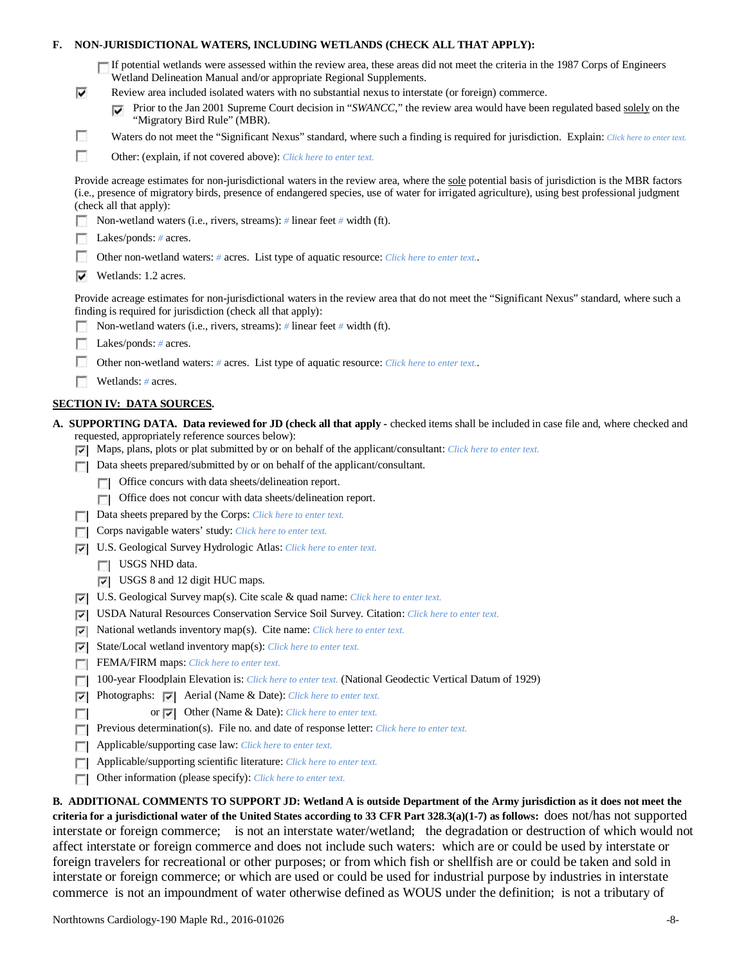|  | F. NON-JURISDICTIONAL WATERS. INCLUDING WETLANDS (CHECK ALL THAT APPLY): |  |  |  |
|--|--------------------------------------------------------------------------|--|--|--|
|--|--------------------------------------------------------------------------|--|--|--|

|  | If potential wetlands were assessed within the review area, these areas did not meet the criteria in the 1987 Corps of Engineers |  |
|--|----------------------------------------------------------------------------------------------------------------------------------|--|
|  | Wetland Delineation Manual and/or appropriate Regional Supplements.                                                              |  |

- Review area included isolated waters with no substantial nexus to interstate (or foreign) commerce.
	- **Prior to the Jan 2001 Supreme Court decision in "***SWANCC*," the review area would have been regulated based solely on the "Migratory Bird Rule" (MBR).
	- Waters do not meet the "Significant Nexus" standard, where such a finding is required for jurisdiction. Explain: *Click here to enter text.*
- F Other: (explain, if not covered above): *Click here to enter text.*

Provide acreage estimates for non-jurisdictional waters in the review area, where the sole potential basis of jurisdiction is the MBR factors (i.e., presence of migratory birds, presence of endangered species, use of water for irrigated agriculture), using best professional judgment (check all that apply):

Non-wetland waters (i.e., rivers, streams): *#* linear feet *#* width (ft).

|  |  | Lakes/ponds: $# \, \text{acres.}$ |  |  |
|--|--|-----------------------------------|--|--|
|--|--|-----------------------------------|--|--|

⊽

г

- **1999** Other non-wetland waters: *#* acres. List type of aquatic resource: *Click here to enter text.*.
- $\triangledown$  Wetlands: 1.2 acres.

Provide acreage estimates for non-jurisdictional waters in the review area that do not meet the "Significant Nexus" standard, where such a finding is required for jurisdiction (check all that apply):

- Non-wetland waters (i.e., rivers, streams): *#* linear feet *#* width (ft).
- Lakes/ponds: *#* acres.
- Other non-wetland waters: # acres. List type of aquatic resource: *Click here to enter text.*.
- Wetlands: *#* acres.

## **SECTION IV: DATA SOURCES.**

- **A. SUPPORTING DATA. Data reviewed for JD (check all that apply -** checked items shall be included in case file and, where checked and requested, appropriately reference sources below):
	- Maps, plans, plots or plat submitted by or on behalf of the applicant/consultant: *Click here to enter text.*
	- Data sheets prepared/submitted by or on behalf of the applicant/consultant.
		- Office concurs with data sheets/delineation report.
		- Office does not concur with data sheets/delineation report.
	- Data sheets prepared by the Corps: *Click here to enter text.*
	- **Corps navigable waters' study:** *Click here to enter text.*
	- U.S. Geological Survey Hydrologic Atlas: *Click here to enter text.*
		- USGS NHD data.

п

- USGS 8 and 12 digit HUC maps.
- U.S. Geological Survey map(s). Cite scale & quad name: *Click here to enter text.*
- USDA Natural Resources Conservation Service Soil Survey. Citation: *Click here to enter text.*
- National wetlands inventory map(s). Cite name: *Click here to enter text.* ⊽
- State/Local wetland inventory map(s): *Click here to enter text.*
- FEMA/FIRM maps: *Click here to enter text.*
- 100-year Floodplain Elevation is: *Click here to enter text.* (National Geodectic Vertical Datum of 1929)
- **Photographs: Aerial (Name & Date):** *Click here to enter text.* 
	- or Other (Name & Date): *Click here to enter text.*
- **Previous determination(s). File no. and date of response letter:** *Click here to enter text.*
- Applicable/supporting case law: *Click here to enter text.* E.
- Applicable/supporting scientific literature: *Click here to enter text.*  $\sim$
- Other information (please specify): *Click here to enter text.*  $\overline{a}$

**B. ADDITIONAL COMMENTS TO SUPPORT JD: Wetland A is outside Department of the Army jurisdiction as it does not meet the criteria for a jurisdictional water of the United States according to 33 CFR Part 328.3(a)(1-7) as follows:** does not/has not supported interstate or foreign commerce; is not an interstate water/wetland; the degradation or destruction of which would not affect interstate or foreign commerce and does not include such waters: which are or could be used by interstate or foreign travelers for recreational or other purposes; or from which fish or shellfish are or could be taken and sold in interstate or foreign commerce; or which are used or could be used for industrial purpose by industries in interstate commerce is not an impoundment of water otherwise defined as WOUS under the definition; is not a tributary of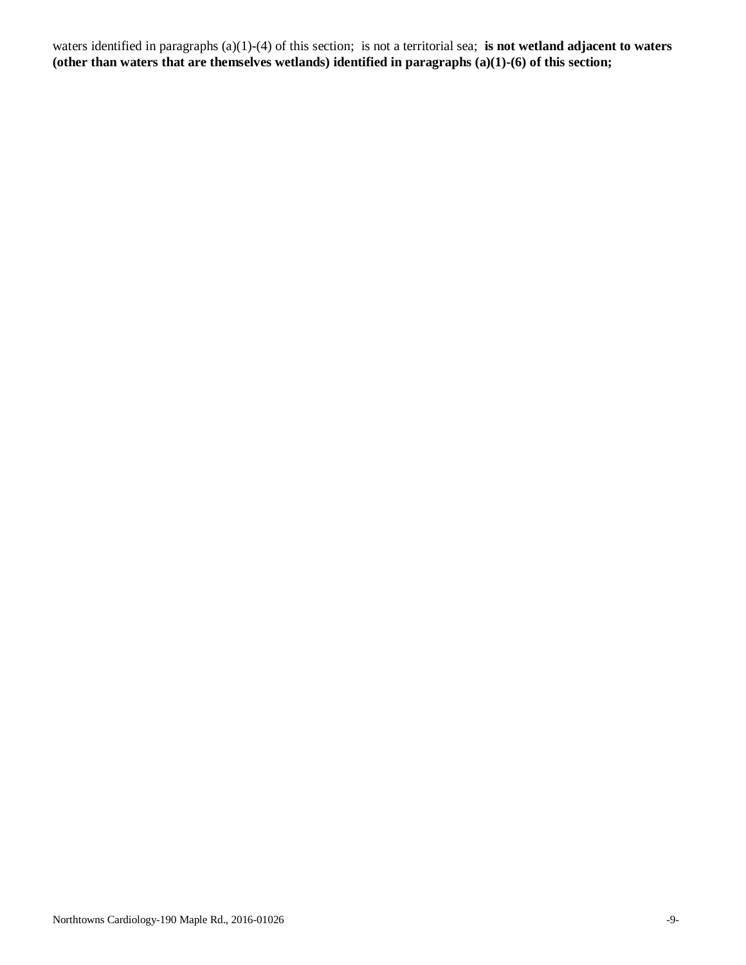waters identified in paragraphs (a)(1)-(4) of this section; is not a territorial sea; **is not wetland adjacent to waters (other than waters that are themselves wetlands) identified in paragraphs (a)(1)-(6) of this section;**